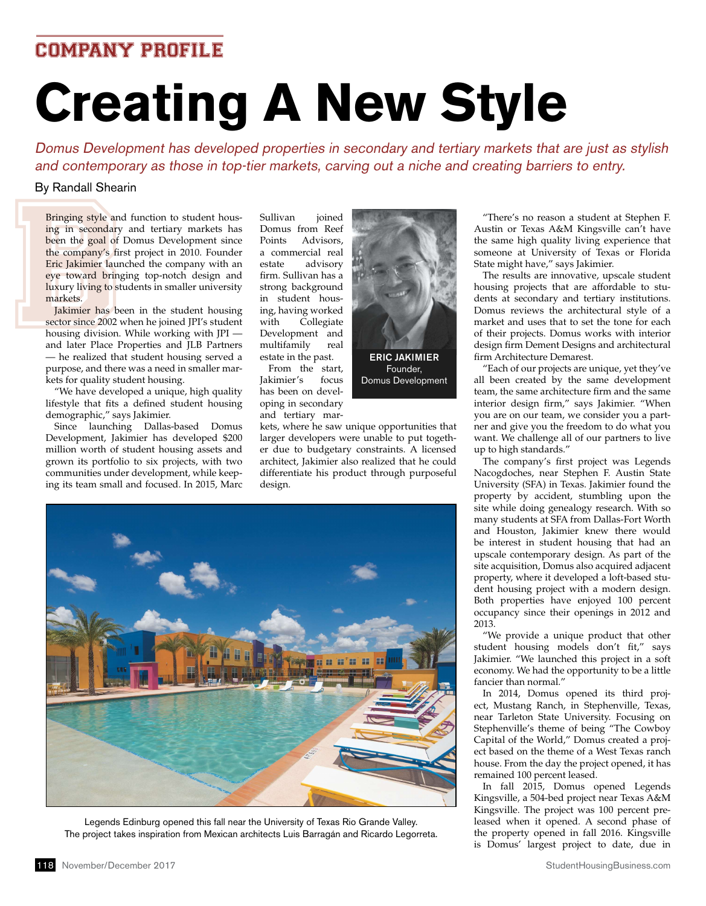## COMPANY PROFILE

# **Creating A New Style**

Domus Development has developed properties in secondary and tertiary markets that are just as stylish and contemporary as those in top-tier markets, carving out a niche and creating barriers to entry.

### By Randall Shearin

By Randall Shea<br>Bringing style and<br>ing in secondary<br>been the goal of<br>the company's fir<br>Eric Jakimier laur<br>eve toward bring<br>luxury living to st<br>markets.<br>Jakimier has be<br>sector since 2002 v<br>housing division.<br>and later Place Bringing style and function to student housing in secondary and tertiary markets has been the goal of Domus Development since the company's first project in 2010. Founder Eric Jakimier launched the company with an eye toward bringing top-notch design and luxury living to students in smaller university markets.

Jakimier has been in the student housing sector since 2002 when he joined JPI's student housing division. While working with JPI and later Place Properties and JLB Partners — he realized that student housing served a purpose, and there was a need in smaller markets for quality student housing.

"We have developed a unique, high quality lifestyle that fits a defined student housing demographic," says Jakimier.

Since launching Dallas-based Domus Development, Jakimier has developed \$200 million worth of student housing assets and grown its portfolio to six projects, with two communities under development, while keeping its team small and focused. In 2015, Marc Sullivan joined Domus from Reef Points Advisors, a commercial real estate advisory firm. Sullivan has a strong background in student housing, having worked with Collegiate Development and multifamily real estate in the past.

From the start, Jakimier's focus has been on developing in secondary and tertiary mar-



kets, where he saw unique opportunities that larger developers were unable to put together due to budgetary constraints. A licensed architect, Jakimier also realized that he could differentiate his product through purposeful design.



Legends Edinburg opened this fall near the University of Texas Rio Grande Valley. The project takes inspiration from Mexican architects Luis Barragán and Ricardo Legorreta.

"There's no reason a student at Stephen F. Austin or Texas A&M Kingsville can't have the same high quality living experience that someone at University of Texas or Florida State might have," says Jakimier.

The results are innovative, upscale student housing projects that are affordable to students at secondary and tertiary institutions. Domus reviews the architectural style of a market and uses that to set the tone for each of their projects. Domus works with interior design firm Dement Designs and architectural firm Architecture Demarest.

"Each of our projects are unique, yet they've all been created by the same development team, the same architecture firm and the same interior design firm," says Jakimier. "When you are on our team, we consider you a partner and give you the freedom to do what you want. We challenge all of our partners to live up to high standards."

The company's first project was Legends Nacogdoches, near Stephen F. Austin State University (SFA) in Texas. Jakimier found the property by accident, stumbling upon the site while doing genealogy research. With so many students at SFA from Dallas-Fort Worth and Houston, Jakimier knew there would be interest in student housing that had an upscale contemporary design. As part of the site acquisition, Domus also acquired adjacent property, where it developed a loft-based student housing project with a modern design. Both properties have enjoyed 100 percent occupancy since their openings in 2012 and 2013.

"We provide a unique product that other student housing models don't fit," says Jakimier. "We launched this project in a soft economy. We had the opportunity to be a little fancier than normal."

In 2014, Domus opened its third project, Mustang Ranch, in Stephenville, Texas, near Tarleton State University. Focusing on Stephenville's theme of being "The Cowboy Capital of the World," Domus created a project based on the theme of a West Texas ranch house. From the day the project opened, it has remained 100 percent leased.

In fall 2015, Domus opened Legends Kingsville, a 504-bed project near Texas A&M Kingsville. The project was 100 percent preleased when it opened. A second phase of the property opened in fall 2016. Kingsville is Domus' largest project to date, due in